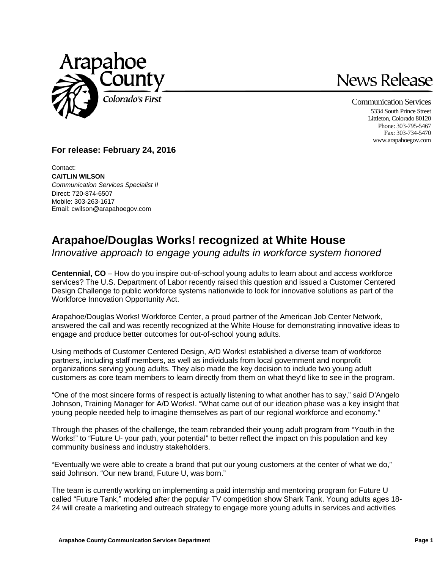

## News Release

Communication Services 5334 South Prince Street Littleton, Colorado 80120 Phone: 303-795-5467 Fax: 303-734-5470 www.arapahoegov.com

## **For release: February 24, 2016**

Contact: **CAITLIN WILSON** *Communication Services Specialist II* Direct: 720-874-6507 Mobile: 303-263-1617 Email: cwilson@arapahoegov.com

## **Arapahoe/Douglas Works! recognized at White House**

*Innovative approach to engage young adults in workforce system honored* 

**Centennial, CO** – How do you inspire out-of-school young adults to learn about and access workforce services? The U.S. Department of Labor recently raised this question and issued a Customer Centered Design Challenge to public workforce systems nationwide to look for innovative solutions as part of the Workforce Innovation Opportunity Act.

Arapahoe/Douglas Works! Workforce Center, a proud partner of the American Job Center Network, answered the call and was recently recognized at the White House for demonstrating innovative ideas to engage and produce better outcomes for out-of-school young adults.

Using methods of Customer Centered Design, A/D Works! established a diverse team of workforce partners, including staff members, as well as individuals from local government and nonprofit organizations serving young adults. They also made the key decision to include two young adult customers as core team members to learn directly from them on what they'd like to see in the program.

"One of the most sincere forms of respect is actually listening to what another has to say," said D'Angelo Johnson, Training Manager for A/D Works!. "What came out of our ideation phase was a key insight that young people needed help to imagine themselves as part of our regional workforce and economy."

Through the phases of the challenge, the team rebranded their young adult program from "Youth in the Works!" to "Future U- your path, your potential" to better reflect the impact on this population and key community business and industry stakeholders.

"Eventually we were able to create a brand that put our young customers at the center of what we do," said Johnson. "Our new brand, Future U, was born."

The team is currently working on implementing a paid internship and mentoring program for Future U called "Future Tank," modeled after the popular TV competition show Shark Tank. Young adults ages 18- 24 will create a marketing and outreach strategy to engage more young adults in services and activities